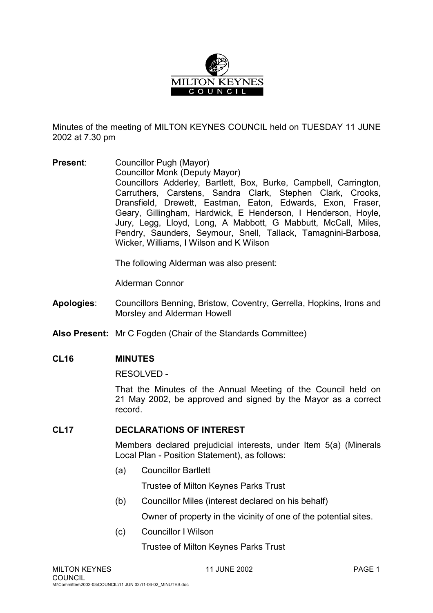

Minutes of the meeting of MILTON KEYNES COUNCIL held on TUESDAY 11 JUNE 2002 at 7.30 pm

**Present**: Councillor Pugh (Mayor) Councillor Monk (Deputy Mayor) Councillors Adderley, Bartlett, Box, Burke, Campbell, Carrington, Carruthers, Carstens, Sandra Clark, Stephen Clark, Crooks, Dransfield, Drewett, Eastman, Eaton, Edwards, Exon, Fraser, Geary, Gillingham, Hardwick, E Henderson, I Henderson, Hoyle, Jury, Legg, Lloyd, Long, A Mabbott, G Mabbutt, McCall, Miles, Pendry, Saunders, Seymour, Snell, Tallack, Tamagnini-Barbosa, Wicker, Williams, I Wilson and K Wilson

The following Alderman was also present:

Alderman Connor

- **Apologies**: Councillors Benning, Bristow, Coventry, Gerrella, Hopkins, Irons and Morsley and Alderman Howell
- **Also Present:** Mr C Fogden (Chair of the Standards Committee)

### **CL16 MINUTES**

RESOLVED -

That the Minutes of the Annual Meeting of the Council held on 21 May 2002, be approved and signed by the Mayor as a correct record.

### **CL17 DECLARATIONS OF INTEREST**

Members declared prejudicial interests, under Item 5(a) (Minerals Local Plan - Position Statement), as follows:

(a) Councillor Bartlett

Trustee of Milton Keynes Parks Trust

(b) Councillor Miles (interest declared on his behalf)

Owner of property in the vicinity of one of the potential sites.

(c) Councillor I Wilson

Trustee of Milton Keynes Parks Trust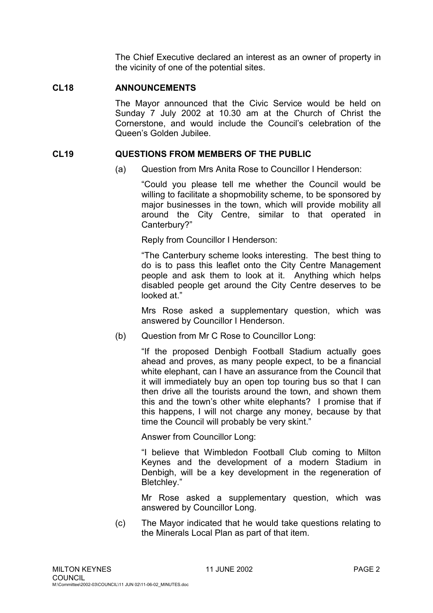The Chief Executive declared an interest as an owner of property in the vicinity of one of the potential sites.

## **CL18 ANNOUNCEMENTS**

The Mayor announced that the Civic Service would be held on Sunday 7 July 2002 at 10.30 am at the Church of Christ the Cornerstone, and would include the Council's celebration of the Queen's Golden Jubilee.

### **CL19 QUESTIONS FROM MEMBERS OF THE PUBLIC**

(a) Question from Mrs Anita Rose to Councillor I Henderson:

"Could you please tell me whether the Council would be willing to facilitate a shopmobility scheme, to be sponsored by major businesses in the town, which will provide mobility all around the City Centre, similar to that operated in Canterbury?"

Reply from Councillor I Henderson:

"The Canterbury scheme looks interesting. The best thing to do is to pass this leaflet onto the City Centre Management people and ask them to look at it. Anything which helps disabled people get around the City Centre deserves to be looked at "

Mrs Rose asked a supplementary question, which was answered by Councillor I Henderson.

(b) Question from Mr C Rose to Councillor Long:

"If the proposed Denbigh Football Stadium actually goes ahead and proves, as many people expect, to be a financial white elephant, can I have an assurance from the Council that it will immediately buy an open top touring bus so that I can then drive all the tourists around the town, and shown them this and the town's other white elephants? I promise that if this happens, I will not charge any money, because by that time the Council will probably be very skint."

Answer from Councillor Long:

"I believe that Wimbledon Football Club coming to Milton Keynes and the development of a modern Stadium in Denbigh, will be a key development in the regeneration of Bletchley."

Mr Rose asked a supplementary question, which was answered by Councillor Long.

(c) The Mayor indicated that he would take questions relating to the Minerals Local Plan as part of that item.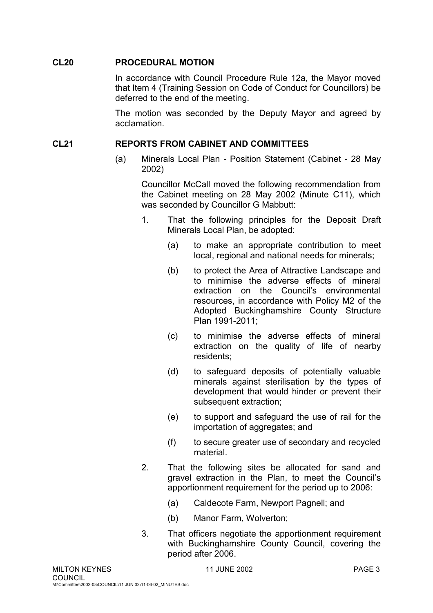### **CL20 PROCEDURAL MOTION**

In accordance with Council Procedure Rule 12a, the Mayor moved that Item 4 (Training Session on Code of Conduct for Councillors) be deferred to the end of the meeting.

The motion was seconded by the Deputy Mayor and agreed by acclamation.

## **CL21 REPORTS FROM CABINET AND COMMITTEES**

(a) Minerals Local Plan - Position Statement (Cabinet - 28 May 2002)

Councillor McCall moved the following recommendation from the Cabinet meeting on 28 May 2002 (Minute C11), which was seconded by Councillor G Mabbutt:

- 1. That the following principles for the Deposit Draft Minerals Local Plan, be adopted:
	- (a) to make an appropriate contribution to meet local, regional and national needs for minerals;
	- (b) to protect the Area of Attractive Landscape and to minimise the adverse effects of mineral extraction on the Council's environmental resources, in accordance with Policy M2 of the Adopted Buckinghamshire County Structure Plan 1991-2011;
	- (c) to minimise the adverse effects of mineral extraction on the quality of life of nearby residents;
	- (d) to safeguard deposits of potentially valuable minerals against sterilisation by the types of development that would hinder or prevent their subsequent extraction;
	- (e) to support and safeguard the use of rail for the importation of aggregates; and
	- (f) to secure greater use of secondary and recycled material.
- 2. That the following sites be allocated for sand and gravel extraction in the Plan, to meet the Council's apportionment requirement for the period up to 2006:
	- (a) Caldecote Farm, Newport Pagnell; and
	- (b) Manor Farm, Wolverton;
- 3. That officers negotiate the apportionment requirement with Buckinghamshire County Council, covering the period after 2006.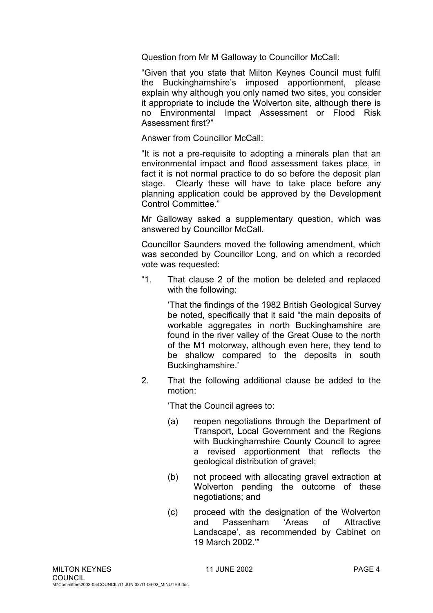Question from Mr M Galloway to Councillor McCall:

"Given that you state that Milton Keynes Council must fulfil the Buckinghamshire's imposed apportionment, please explain why although you only named two sites, you consider it appropriate to include the Wolverton site, although there is no Environmental Impact Assessment or Flood Risk Assessment first?"

Answer from Councillor McCall:

"It is not a pre-requisite to adopting a minerals plan that an environmental impact and flood assessment takes place, in fact it is not normal practice to do so before the deposit plan stage. Clearly these will have to take place before any planning application could be approved by the Development Control Committee."

Mr Galloway asked a supplementary question, which was answered by Councillor McCall.

Councillor Saunders moved the following amendment, which was seconded by Councillor Long, and on which a recorded vote was requested:

"1. That clause 2 of the motion be deleted and replaced with the following:

> 'That the findings of the 1982 British Geological Survey be noted, specifically that it said "the main deposits of workable aggregates in north Buckinghamshire are found in the river valley of the Great Ouse to the north of the M1 motorway, although even here, they tend to be shallow compared to the deposits in south Buckinghamshire.'

2. That the following additional clause be added to the motion:

'That the Council agrees to:

- (a) reopen negotiations through the Department of Transport, Local Government and the Regions with Buckinghamshire County Council to agree a revised apportionment that reflects the geological distribution of gravel;
- (b) not proceed with allocating gravel extraction at Wolverton pending the outcome of these negotiations; and
- (c) proceed with the designation of the Wolverton and Passenham 'Areas of Attractive Landscape', as recommended by Cabinet on 19 March 2002.'"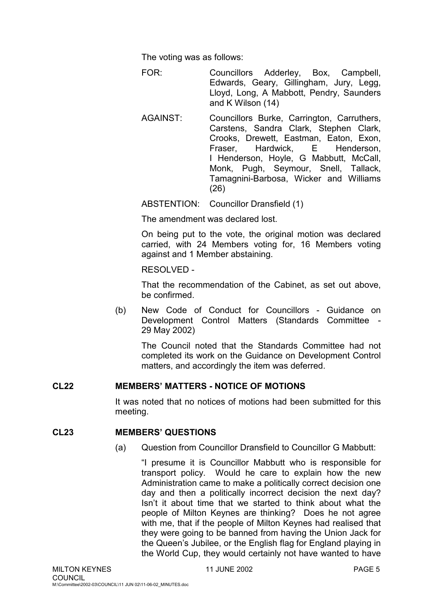The voting was as follows:

FOR: Councillors Adderley, Box, Campbell, Edwards, Geary, Gillingham, Jury, Legg, Lloyd, Long, A Mabbott, Pendry, Saunders and K Wilson (14)

AGAINST: Councillors Burke, Carrington, Carruthers, Carstens, Sandra Clark, Stephen Clark, Crooks, Drewett, Eastman, Eaton, Exon, Fraser, Hardwick, E Henderson, I Henderson, Hoyle, G Mabbutt, McCall, Monk, Pugh, Seymour, Snell, Tallack, Tamagnini-Barbosa, Wicker and Williams (26)

ABSTENTION: Councillor Dransfield (1)

The amendment was declared lost.

On being put to the vote, the original motion was declared carried, with 24 Members voting for, 16 Members voting against and 1 Member abstaining.

RESOLVED -

That the recommendation of the Cabinet, as set out above, be confirmed.

(b) New Code of Conduct for Councillors - Guidance on Development Control Matters (Standards Committee - 29 May 2002)

The Council noted that the Standards Committee had not completed its work on the Guidance on Development Control matters, and accordingly the item was deferred.

### **CL22 MEMBERS' MATTERS - NOTICE OF MOTIONS**

It was noted that no notices of motions had been submitted for this meeting.

### **CL23 MEMBERS' QUESTIONS**

(a) Question from Councillor Dransfield to Councillor G Mabbutt:

"I presume it is Councillor Mabbutt who is responsible for transport policy. Would he care to explain how the new Administration came to make a politically correct decision one day and then a politically incorrect decision the next day? Isn't it about time that we started to think about what the people of Milton Keynes are thinking? Does he not agree with me, that if the people of Milton Keynes had realised that they were going to be banned from having the Union Jack for the Queen's Jubilee, or the English flag for England playing in the World Cup, they would certainly not have wanted to have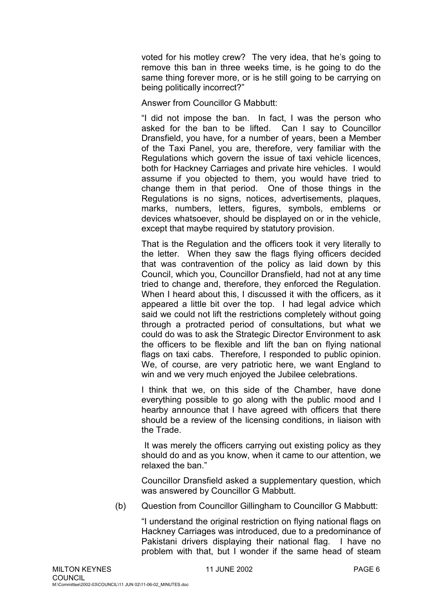voted for his motley crew? The very idea, that he's going to remove this ban in three weeks time, is he going to do the same thing forever more, or is he still going to be carrying on being politically incorrect?"

Answer from Councillor G Mabbutt:

"I did not impose the ban. In fact, I was the person who asked for the ban to be lifted. Can I say to Councillor Dransfield, you have, for a number of years, been a Member of the Taxi Panel, you are, therefore, very familiar with the Regulations which govern the issue of taxi vehicle licences, both for Hackney Carriages and private hire vehicles. I would assume if you objected to them, you would have tried to change them in that period. One of those things in the Regulations is no signs, notices, advertisements, plaques, marks, numbers, letters, figures, symbols, emblems or devices whatsoever, should be displayed on or in the vehicle, except that maybe required by statutory provision.

That is the Regulation and the officers took it very literally to the letter. When they saw the flags flying officers decided that was contravention of the policy as laid down by this Council, which you, Councillor Dransfield, had not at any time tried to change and, therefore, they enforced the Regulation. When I heard about this, I discussed it with the officers, as it appeared a little bit over the top. I had legal advice which said we could not lift the restrictions completely without going through a protracted period of consultations, but what we could do was to ask the Strategic Director Environment to ask the officers to be flexible and lift the ban on flying national flags on taxi cabs. Therefore, I responded to public opinion. We, of course, are very patriotic here, we want England to win and we very much enjoyed the Jubilee celebrations.

I think that we, on this side of the Chamber, have done everything possible to go along with the public mood and I hearby announce that I have agreed with officers that there should be a review of the licensing conditions, in liaison with the Trade.

 It was merely the officers carrying out existing policy as they should do and as you know, when it came to our attention, we relaxed the ban."

Councillor Dransfield asked a supplementary question, which was answered by Councillor G Mabbutt.

(b) Question from Councillor Gillingham to Councillor G Mabbutt:

"I understand the original restriction on flying national flags on Hackney Carriages was introduced, due to a predominance of Pakistani drivers displaying their national flag. I have no problem with that, but I wonder if the same head of steam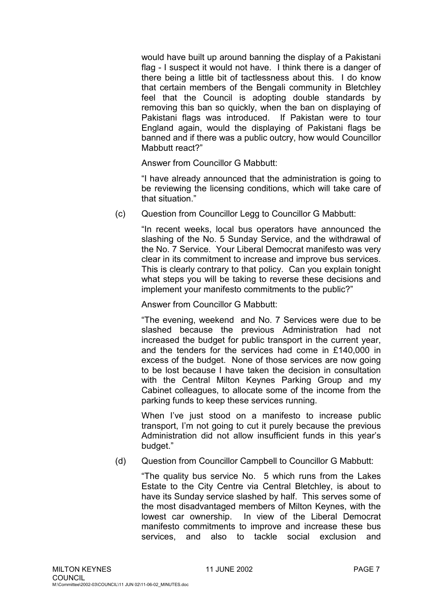would have built up around banning the display of a Pakistani flag - I suspect it would not have. I think there is a danger of there being a little bit of tactlessness about this. I do know that certain members of the Bengali community in Bletchley feel that the Council is adopting double standards by removing this ban so quickly, when the ban on displaying of Pakistani flags was introduced. If Pakistan were to tour England again, would the displaying of Pakistani flags be banned and if there was a public outcry, how would Councillor Mabbutt react?"

Answer from Councillor G Mabbutt:

"I have already announced that the administration is going to be reviewing the licensing conditions, which will take care of that situation."

(c) Question from Councillor Legg to Councillor G Mabbutt:

"In recent weeks, local bus operators have announced the slashing of the No. 5 Sunday Service, and the withdrawal of the No. 7 Service. Your Liberal Democrat manifesto was very clear in its commitment to increase and improve bus services. This is clearly contrary to that policy. Can you explain tonight what steps you will be taking to reverse these decisions and implement your manifesto commitments to the public?"

Answer from Councillor G Mabbutt:

"The evening, weekend and No. 7 Services were due to be slashed because the previous Administration had not increased the budget for public transport in the current year, and the tenders for the services had come in £140,000 in excess of the budget. None of those services are now going to be lost because I have taken the decision in consultation with the Central Milton Keynes Parking Group and my Cabinet colleagues, to allocate some of the income from the parking funds to keep these services running.

When I've just stood on a manifesto to increase public transport, I'm not going to cut it purely because the previous Administration did not allow insufficient funds in this year's budget."

(d) Question from Councillor Campbell to Councillor G Mabbutt:

"The quality bus service No. 5 which runs from the Lakes Estate to the City Centre via Central Bletchley, is about to have its Sunday service slashed by half. This serves some of the most disadvantaged members of Milton Keynes, with the lowest car ownership. In view of the Liberal Democrat manifesto commitments to improve and increase these bus services, and also to tackle social exclusion and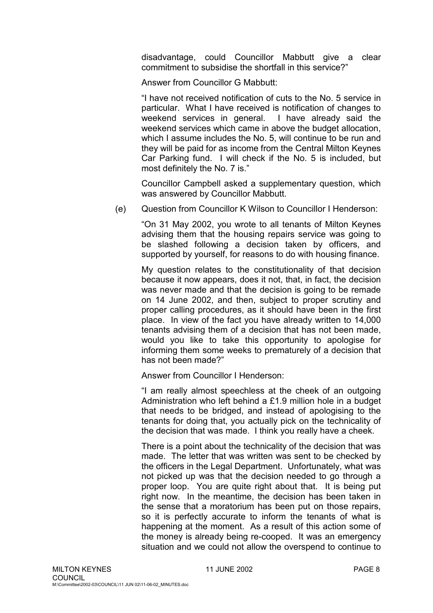disadvantage, could Councillor Mabbutt give a clear commitment to subsidise the shortfall in this service?"

Answer from Councillor G Mabbutt:

"I have not received notification of cuts to the No. 5 service in particular. What I have received is notification of changes to weekend services in general. I have already said the weekend services which came in above the budget allocation, which I assume includes the No. 5, will continue to be run and they will be paid for as income from the Central Milton Keynes Car Parking fund. I will check if the No. 5 is included, but most definitely the No. 7 is."

Councillor Campbell asked a supplementary question, which was answered by Councillor Mabbutt.

(e) Question from Councillor K Wilson to Councillor I Henderson:

"On 31 May 2002, you wrote to all tenants of Milton Keynes advising them that the housing repairs service was going to be slashed following a decision taken by officers, and supported by yourself, for reasons to do with housing finance.

My question relates to the constitutionality of that decision because it now appears, does it not, that, in fact, the decision was never made and that the decision is going to be remade on 14 June 2002, and then, subject to proper scrutiny and proper calling procedures, as it should have been in the first place. In view of the fact you have already written to 14,000 tenants advising them of a decision that has not been made, would you like to take this opportunity to apologise for informing them some weeks to prematurely of a decision that has not been made?"

Answer from Councillor I Henderson:

"I am really almost speechless at the cheek of an outgoing Administration who left behind a £1.9 million hole in a budget that needs to be bridged, and instead of apologising to the tenants for doing that, you actually pick on the technicality of the decision that was made. I think you really have a cheek.

There is a point about the technicality of the decision that was made. The letter that was written was sent to be checked by the officers in the Legal Department. Unfortunately, what was not picked up was that the decision needed to go through a proper loop. You are quite right about that. It is being put right now. In the meantime, the decision has been taken in the sense that a moratorium has been put on those repairs, so it is perfectly accurate to inform the tenants of what is happening at the moment. As a result of this action some of the money is already being re-cooped. It was an emergency situation and we could not allow the overspend to continue to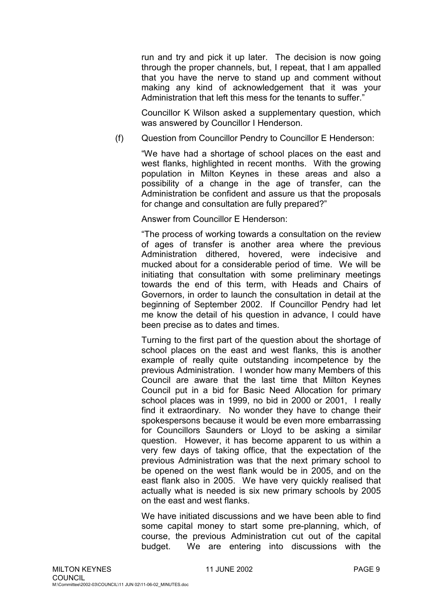run and try and pick it up later. The decision is now going through the proper channels, but, I repeat, that I am appalled that you have the nerve to stand up and comment without making any kind of acknowledgement that it was your Administration that left this mess for the tenants to suffer.'

Councillor K Wilson asked a supplementary question, which was answered by Councillor I Henderson.

(f) Question from Councillor Pendry to Councillor E Henderson:

"We have had a shortage of school places on the east and west flanks, highlighted in recent months. With the growing population in Milton Keynes in these areas and also a possibility of a change in the age of transfer, can the Administration be confident and assure us that the proposals for change and consultation are fully prepared?"

Answer from Councillor E Henderson:

"The process of working towards a consultation on the review of ages of transfer is another area where the previous Administration dithered, hovered, were indecisive and mucked about for a considerable period of time. We will be initiating that consultation with some preliminary meetings towards the end of this term, with Heads and Chairs of Governors, in order to launch the consultation in detail at the beginning of September 2002. If Councillor Pendry had let me know the detail of his question in advance, I could have been precise as to dates and times.

Turning to the first part of the question about the shortage of school places on the east and west flanks, this is another example of really quite outstanding incompetence by the previous Administration. I wonder how many Members of this Council are aware that the last time that Milton Keynes Council put in a bid for Basic Need Allocation for primary school places was in 1999, no bid in 2000 or 2001, I really find it extraordinary. No wonder they have to change their spokespersons because it would be even more embarrassing for Councillors Saunders or Lloyd to be asking a similar question. However, it has become apparent to us within a very few days of taking office, that the expectation of the previous Administration was that the next primary school to be opened on the west flank would be in 2005, and on the east flank also in 2005. We have very quickly realised that actually what is needed is six new primary schools by 2005 on the east and west flanks.

We have initiated discussions and we have been able to find some capital money to start some pre-planning, which, of course, the previous Administration cut out of the capital budget. We are entering into discussions with the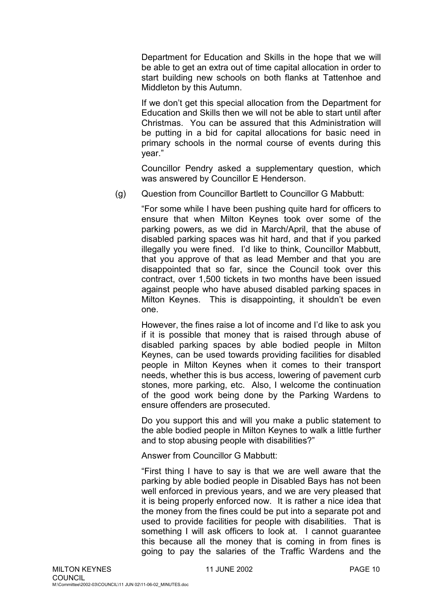Department for Education and Skills in the hope that we will be able to get an extra out of time capital allocation in order to start building new schools on both flanks at Tattenhoe and Middleton by this Autumn.

If we don't get this special allocation from the Department for Education and Skills then we will not be able to start until after Christmas. You can be assured that this Administration will be putting in a bid for capital allocations for basic need in primary schools in the normal course of events during this year."

Councillor Pendry asked a supplementary question, which was answered by Councillor E Henderson.

(g) Question from Councillor Bartlett to Councillor G Mabbutt:

"For some while I have been pushing quite hard for officers to ensure that when Milton Keynes took over some of the parking powers, as we did in March/April, that the abuse of disabled parking spaces was hit hard, and that if you parked illegally you were fined. I'd like to think, Councillor Mabbutt, that you approve of that as lead Member and that you are disappointed that so far, since the Council took over this contract, over 1,500 tickets in two months have been issued against people who have abused disabled parking spaces in Milton Keynes. This is disappointing, it shouldn't be even one.

However, the fines raise a lot of income and I'd like to ask you if it is possible that money that is raised through abuse of disabled parking spaces by able bodied people in Milton Keynes, can be used towards providing facilities for disabled people in Milton Keynes when it comes to their transport needs, whether this is bus access, lowering of pavement curb stones, more parking, etc. Also, I welcome the continuation of the good work being done by the Parking Wardens to ensure offenders are prosecuted.

Do you support this and will you make a public statement to the able bodied people in Milton Keynes to walk a little further and to stop abusing people with disabilities?"

Answer from Councillor G Mabbutt:

"First thing I have to say is that we are well aware that the parking by able bodied people in Disabled Bays has not been well enforced in previous years, and we are very pleased that it is being properly enforced now. It is rather a nice idea that the money from the fines could be put into a separate pot and used to provide facilities for people with disabilities. That is something I will ask officers to look at. I cannot guarantee this because all the money that is coming in from fines is going to pay the salaries of the Traffic Wardens and the